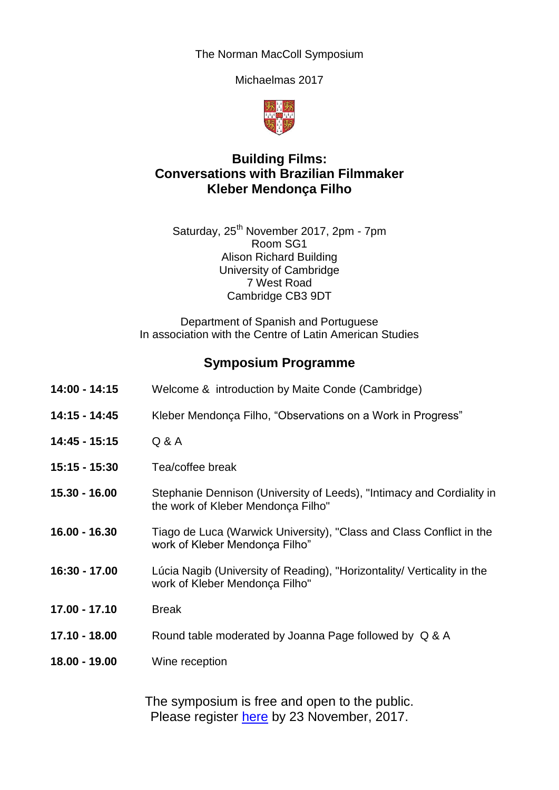The Norman MacColl Symposium

Michaelmas 2017



## **Building Films: Conversations with Brazilian Filmmaker Kleber Mendonça Filho**

Saturday, 25<sup>th</sup> November 2017, 2pm - 7pm Room SG1 Alison Richard Building University of Cambridge 7 West Road Cambridge CB3 9DT

Department of Spanish and Portuguese In association with the Centre of Latin American Studies

## **Symposium Programme**

| 14:00 - 14:15   | Welcome & introduction by Maite Conde (Cambridge)                                                           |
|-----------------|-------------------------------------------------------------------------------------------------------------|
| 14:15 - 14:45   | Kleber Mendonça Filho, "Observations on a Work in Progress"                                                 |
| 14:45 - 15:15   | Q & A                                                                                                       |
| 15:15 - 15:30   | Tea/coffee break                                                                                            |
| 15.30 - 16.00   | Stephanie Dennison (University of Leeds), "Intimacy and Cordiality in<br>the work of Kleber Mendonça Filho" |
| $16.00 - 16.30$ | Tiago de Luca (Warwick University), "Class and Class Conflict in the<br>work of Kleber Mendonça Filho"      |
| 16:30 - 17.00   | Lúcia Nagib (University of Reading), "Horizontality/ Verticality in the<br>work of Kleber Mendonça Filho"   |
| 17.00 - 17.10   | <b>Break</b>                                                                                                |
| 17.10 - 18.00   | Round table moderated by Joanna Page followed by Q & A                                                      |
| 18.00 - 19.00   | Wine reception                                                                                              |
|                 | The symposium is free and open to the public                                                                |

The symposium is free and open to the public. Please register [here](https://www.eventbrite.co.uk/e/building-films-conversations-with-brazilian-filmmaker-kleber-mendonca-filho-tickets-39399442794) by 23 November, 2017.